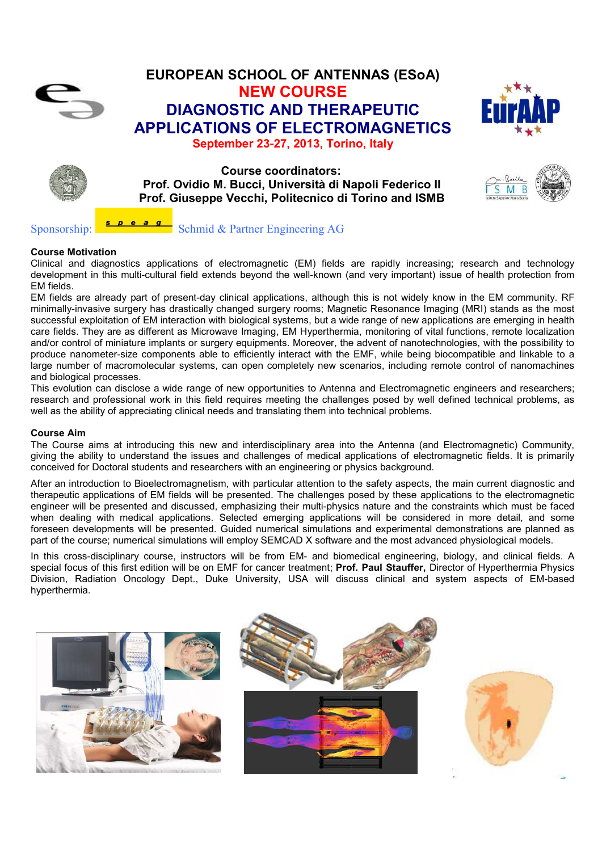

# **EUROPEAN SCHOOL OF ANTENNAS (ESoA) NEW COURSE DIAGNOSTIC AND THERAPEUTIC APPLICATIONS OF ELECTROMAGNETICS September 23-27, 2013, Torino, Italy**





**Course coordinators: Prof. Ovidio M. Bucci, Università di Napoli Federico II Prof. Giuseppe Vecchi, Politecnico di Torino and ISMB** 

 $M$  B ς

Sponsorship:  $\frac{1}{\sqrt{2}} \cdot \frac{1}{\sqrt{2}} \cdot \frac{1}{\sqrt{2}}$  Schmid & Partner Engineering AG

#### **Course Motivation**

Clinical and diagnostics applications of electromagnetic (EM) fields are rapidly increasing; research and technology development in this multi-cultural field extends beyond the well-known (and very important) issue of health protection from EM fields.

EM fields are already part of present-day clinical applications, although this is not widely know in the EM community. RF minimally-invasive surgery has drastically changed surgery rooms; Magnetic Resonance Imaging (MRI) stands as the most successful exploitation of EM interaction with biological systems, but a wide range of new applications are emerging in health care fields. They are as different as Microwave Imaging, EM Hyperthermia, monitoring of vital functions, remote localization and/or control of miniature implants or surgery equipments. Moreover, the advent of nanotechnologies, with the possibility to produce nanometer-size components able to efficiently interact with the EMF, while being biocompatible and linkable to a large number of macromolecular systems, can open completely new scenarios, including remote control of nanomachines and biological processes.

This evolution can disclose a wide range of new opportunities to Antenna and Electromagnetic engineers and researchers; research and professional work in this field requires meeting the challenges posed by well defined technical problems, as well as the ability of appreciating clinical needs and translating them into technical problems.

#### **Course Aim**

The Course aims at introducing this new and interdisciplinary area into the Antenna (and Electromagnetic) Community, giving the ability to understand the issues and challenges of medical applications of electromagnetic fields. It is primarily conceived for Doctoral students and researchers with an engineering or physics background.

After an introduction to Bioelectromagnetism, with particular attention to the safety aspects, the main current diagnostic and therapeutic applications of EM fields will be presented. The challenges posed by these applications to the electromagnetic engineer will be presented and discussed, emphasizing their multi-physics nature and the constraints which must be faced when dealing with medical applications. Selected emerging applications will be considered in more detail, and some foreseen developments will be presented. Guided numerical simulations and experimental demonstrations are planned as part of the course; numerical simulations will employ SEMCAD X software and the most advanced physiological models.

In this cross-disciplinary course, instructors will be from EM- and biomedical engineering, biology, and clinical fields. A special focus of this first edition will be on EMF for cancer treatment; **Prof. Paul Stauffer,** Director of Hyperthermia Physics Division, Radiation Oncology Dept., Duke University, USA will discuss clinical and system aspects of EM-based hyperthermia.